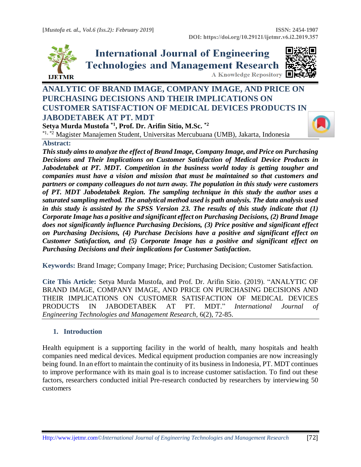

**International Journal of Engineering Technologies and Management Research** A Knowledge Repository



# **ANALYTIC OF BRAND IMAGE, COMPANY IMAGE, AND PRICE ON PURCHASING DECISIONS AND THEIR IMPLICATIONS ON CUSTOMER SATISFACTION OF MEDICAL DEVICES PRODUCTS IN JABODETABEK AT PT. MDT**

**Setya Murda Mustofa \*1, Prof. Dr. Arifin Sitio, M.Sc. \*2**

\*1, \*2 Magister Manajemen Student, Universitas Mercubuana (UMB), Jakarta, Indonesia

## **Abstract:**

*This study aims to analyze the effect of Brand Image, Company Image, and Price on Purchasing Decisions and Their Implications on Customer Satisfaction of Medical Device Products in Jabodetabek at PT. MDT. Competition in the business world today is getting tougher and companies must have a vision and mission that must be maintained so that customers and partners or company colleagues do not turn away. The population in this study were customers of PT. MDT Jabodetabek Region. The sampling technique in this study the author uses a saturated sampling method. The analytical method used is path analysis. The data analysis used in this study is assisted by the SPSS Version 23. The results of this study indicate that (1) Corporate Image has a positive and significant effect on Purchasing Decisions, (2) Brand Image does not significantly influence Purchasing Decisions, (3) Price positive and significant effect on Purchasing Decisions, (4) Purchase Decisions have a positive and significant effect on Customer Satisfaction, and (5) Corporate Image has a positive and significant effect on Purchasing Decisions and their implications for Customer Satisfaction***.**

**Keywords:** Brand Image; Company Image; Price; Purchasing Decision; Customer Satisfaction*.* 

**Cite This Article:** Setya Murda Mustofa, and Prof. Dr. Arifin Sitio. (2019). "ANALYTIC OF BRAND IMAGE, COMPANY IMAGE, AND PRICE ON PURCHASING DECISIONS AND THEIR IMPLICATIONS ON CUSTOMER SATISFACTION OF MEDICAL DEVICES PRODUCTS IN JABODETABEK AT PT. MDT." *International Journal of Engineering Technologies and Management Research,* 6(2), 72-85.

# **1. Introduction**

Health equipment is a supporting facility in the world of health, many hospitals and health companies need medical devices. Medical equipment production companies are now increasingly being found. In an effort to maintain the continuity of its business in Indonesia, PT. MDT continues to improve performance with its main goal is to increase customer satisfaction. To find out these factors, researchers conducted initial Pre-research conducted by researchers by interviewing 50 customers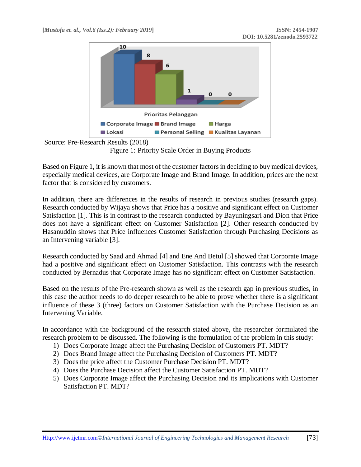



Figure 1: Priority Scale Order in Buying Products

Based on Figure 1, it is known that most of the customer factors in deciding to buy medical devices, especially medical devices, are Corporate Image and Brand Image. In addition, prices are the next factor that is considered by customers.

In addition, there are differences in the results of research in previous studies (research gaps). Research conducted by Wijaya shows that Price has a positive and significant effect on Customer Satisfaction [1]. This is in contrast to the research conducted by Bayuningsari and Dion that Price does not have a significant effect on Customer Satisfaction [2]. Other research conducted by Hasanuddin shows that Price influences Customer Satisfaction through Purchasing Decisions as an Intervening variable [3].

Research conducted by Saad and Ahmad [4] and Ene And Betul [5] showed that Corporate Image had a positive and significant effect on Customer Satisfaction. This contrasts with the research conducted by Bernadus that Corporate Image has no significant effect on Customer Satisfaction.

Based on the results of the Pre-research shown as well as the research gap in previous studies, in this case the author needs to do deeper research to be able to prove whether there is a significant influence of these 3 (three) factors on Customer Satisfaction with the Purchase Decision as an Intervening Variable.

In accordance with the background of the research stated above, the researcher formulated the research problem to be discussed. The following is the formulation of the problem in this study:

- 1) Does Corporate Image affect the Purchasing Decision of Customers PT. MDT?
- 2) Does Brand Image affect the Purchasing Decision of Customers PT. MDT?
- 3) Does the price affect the Customer Purchase Decision PT. MDT?
- 4) Does the Purchase Decision affect the Customer Satisfaction PT. MDT?
- 5) Does Corporate Image affect the Purchasing Decision and its implications with Customer Satisfaction PT. MDT?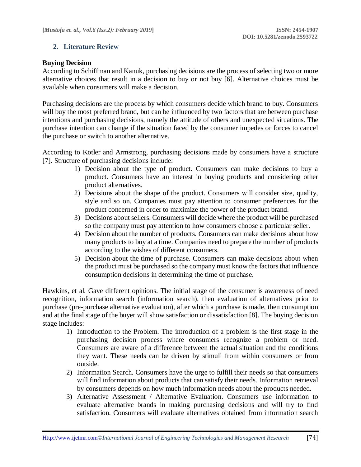## **2. Literature Review**

#### **Buying Decision**

According to Schiffman and Kanuk, purchasing decisions are the process of selecting two or more alternative choices that result in a decision to buy or not buy [6]. Alternative choices must be available when consumers will make a decision.

Purchasing decisions are the process by which consumers decide which brand to buy. Consumers will buy the most preferred brand, but can be influenced by two factors that are between purchase intentions and purchasing decisions, namely the attitude of others and unexpected situations. The purchase intention can change if the situation faced by the consumer impedes or forces to cancel the purchase or switch to another alternative.

According to Kotler and Armstrong, purchasing decisions made by consumers have a structure [7]. Structure of purchasing decisions include:

- 1) Decision about the type of product. Consumers can make decisions to buy a product. Consumers have an interest in buying products and considering other product alternatives.
- 2) Decisions about the shape of the product. Consumers will consider size, quality, style and so on. Companies must pay attention to consumer preferences for the product concerned in order to maximize the power of the product brand.
- 3) Decisions about sellers. Consumers will decide where the product will be purchased so the company must pay attention to how consumers choose a particular seller.
- 4) Decision about the number of products. Consumers can make decisions about how many products to buy at a time. Companies need to prepare the number of products according to the wishes of different consumers.
- 5) Decision about the time of purchase. Consumers can make decisions about when the product must be purchased so the company must know the factors that influence consumption decisions in determining the time of purchase.

Hawkins, et al. Gave different opinions. The initial stage of the consumer is awareness of need recognition, information search (information search), then evaluation of alternatives prior to purchase (pre-purchase alternative evaluation), after which a purchase is made, then consumption and at the final stage of the buyer will show satisfaction or dissatisfaction [8]. The buying decision stage includes:

- 1) Introduction to the Problem. The introduction of a problem is the first stage in the purchasing decision process where consumers recognize a problem or need. Consumers are aware of a difference between the actual situation and the conditions they want. These needs can be driven by stimuli from within consumers or from outside.
- 2) Information Search. Consumers have the urge to fulfill their needs so that consumers will find information about products that can satisfy their needs. Information retrieval by consumers depends on how much information needs about the products needed.
- 3) Alternative Assessment / Alternative Evaluation. Consumers use information to evaluate alternative brands in making purchasing decisions and will try to find satisfaction. Consumers will evaluate alternatives obtained from information search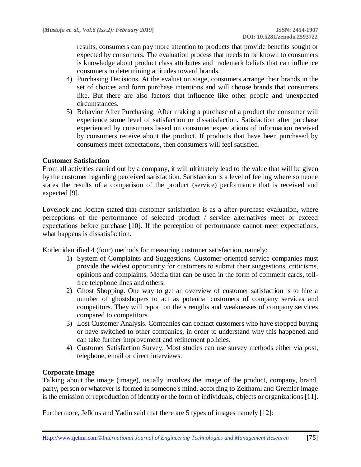results, consumers can pay more attention to products that provide benefits sought or expected by consumers. The evaluation process that needs to be known to consumers is knowledge about product class attributes and trademark beliefs that can influence consumers in determining attitudes toward brands.

- 4) Purchasing Decisions. At the evaluation stage, consumers arrange their brands in the set of choices and form purchase intentions and will choose brands that consumers like. But there are also factors that influence like other people and unexpected circumstances.
- 5) Behavior After Purchasing. After making a purchase of a product the consumer will experience some level of satisfaction or dissatisfaction. Satisfaction after purchase experienced by consumers based on consumer expectations of information received by consumers receive about the product. If products that have been purchased by consumers meet expectations, then consumers will feel satisfied.

## **Customer Satisfaction**

From all activities carried out by a company, it will ultimately lead to the value that will be given by the customer regarding perceived satisfaction. Satisfaction is a level of feeling where someone states the results of a comparison of the product (service) performance that is received and expected [9].

Lovelock and Jochen stated that customer satisfaction is as a after-purchase evaluation, where perceptions of the performance of selected product / service alternatives meet or exceed expectations before purchase [10]. If the perception of performance cannot meet expectations, what happens is dissatisfaction.

Kotler identified 4 (four) methods for measuring customer satisfaction, namely:

- 1) System of Complaints and Suggestions. Customer-oriented service companies must provide the widest opportunity for customers to submit their suggestions, criticisms, opinions and complaints. Media that can be used in the form of comment cards, tollfree telephone lines and others.
- 2) Ghost Shopping. One way to get an overview of customer satisfaction is to hire a number of ghostshopers to act as potential customers of company services and competitors. They will report on the strengths and weaknesses of company services compared to competitors.
- 3) Lost Customer Analysis. Companies can contact customers who have stopped buying or have switched to other companies, in order to understand why this happened and can take further improvement and refinement policies.
- 4) Customer Satisfaction Survey. Most studies can use survey methods either via post, telephone, email or direct interviews.

#### **Corporate Image**

Talking about the image (image), usually involves the image of the product, company, brand, party, person or whatever is formed in someone's mind. according to Zeithaml and Gremler image is the emission or reproduction of identity or the form of individuals, objects or organizations [11].

Furthermore, Jefkins and Yadin said that there are 5 types of images namely [12]: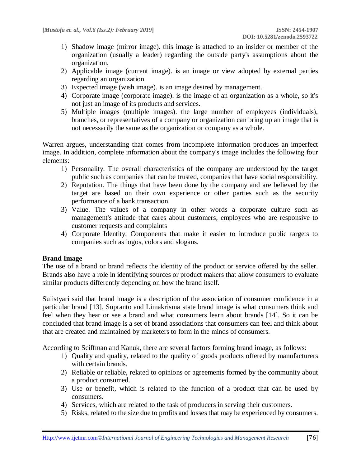- 1) Shadow image (mirror image). this image is attached to an insider or member of the organization (usually a leader) regarding the outside party's assumptions about the organization.
- 2) Applicable image (current image). is an image or view adopted by external parties regarding an organization.
- 3) Expected image (wish image). is an image desired by management.
- 4) Corporate image (corporate image). is the image of an organization as a whole, so it's not just an image of its products and services.
- 5) Multiple images (multiple images). the large number of employees (individuals), branches, or representatives of a company or organization can bring up an image that is not necessarily the same as the organization or company as a whole.

Warren argues, understanding that comes from incomplete information produces an imperfect image. In addition, complete information about the company's image includes the following four elements:

- 1) Personality. The overall characteristics of the company are understood by the target public such as companies that can be trusted, companies that have social responsibility.
- 2) Reputation. The things that have been done by the company and are believed by the target are based on their own experience or other parties such as the security performance of a bank transaction.
- 3) Value. The values of a company in other words a corporate culture such as management's attitude that cares about customers, employees who are responsive to customer requests and complaints
- 4) Corporate Identity. Components that make it easier to introduce public targets to companies such as logos, colors and slogans.

#### **Brand Image**

The use of a brand or brand reflects the identity of the product or service offered by the seller. Brands also have a role in identifying sources or product makers that allow consumers to evaluate similar products differently depending on how the brand itself.

Sulistyari said that brand image is a description of the association of consumer confidence in a particular brand [13]. Supranto and Limakrisma state brand image is what consumers think and feel when they hear or see a brand and what consumers learn about brands [14]. So it can be concluded that brand image is a set of brand associations that consumers can feel and think about that are created and maintained by marketers to form in the minds of consumers.

According to Sciffman and Kanuk, there are several factors forming brand image, as follows:

- 1) Quality and quality, related to the quality of goods products offered by manufacturers with certain brands.
- 2) Reliable or reliable, related to opinions or agreements formed by the community about a product consumed.
- 3) Use or benefit, which is related to the function of a product that can be used by consumers.
- 4) Services, which are related to the task of producers in serving their customers.
- 5) Risks, related to the size due to profits and losses that may be experienced by consumers.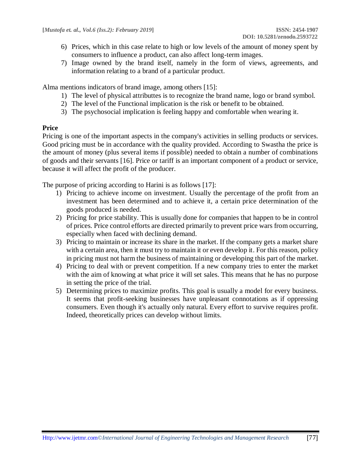- 6) Prices, which in this case relate to high or low levels of the amount of money spent by consumers to influence a product, can also affect long-term images.
- 7) Image owned by the brand itself, namely in the form of views, agreements, and information relating to a brand of a particular product.

Alma mentions indicators of brand image, among others [15]:

- 1) The level of physical attributtes is to recognize the brand name, logo or brand symbol.
- 2) The level of the Functional implication is the risk or benefit to be obtained.
- 3) The psychosocial implication is feeling happy and comfortable when wearing it.

#### **Price**

Pricing is one of the important aspects in the company's activities in selling products or services. Good pricing must be in accordance with the quality provided. According to Swastha the price is the amount of money (plus several items if possible) needed to obtain a number of combinations of goods and their servants [16]. Price or tariff is an important component of a product or service, because it will affect the profit of the producer.

The purpose of pricing according to Harini is as follows [17]:

- 1) Pricing to achieve income on investment. Usually the percentage of the profit from an investment has been determined and to achieve it, a certain price determination of the goods produced is needed.
- 2) Pricing for price stability. This is usually done for companies that happen to be in control of prices. Price control efforts are directed primarily to prevent price wars from occurring, especially when faced with declining demand.
- 3) Pricing to maintain or increase its share in the market. If the company gets a market share with a certain area, then it must try to maintain it or even develop it. For this reason, policy in pricing must not harm the business of maintaining or developing this part of the market.
- 4) Pricing to deal with or prevent competition. If a new company tries to enter the market with the aim of knowing at what price it will set sales. This means that he has no purpose in setting the price of the trial.
- 5) Determining prices to maximize profits. This goal is usually a model for every business. It seems that profit-seeking businesses have unpleasant connotations as if oppressing consumers. Even though it's actually only natural. Every effort to survive requires profit. Indeed, theoretically prices can develop without limits.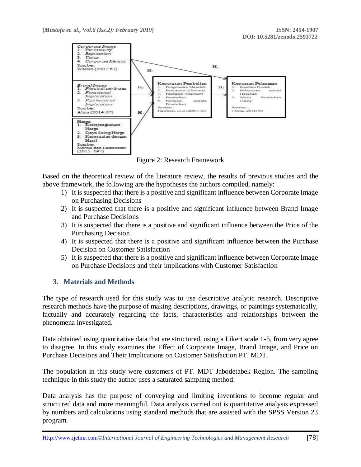

Figure 2: Research Framework

Based on the theoretical review of the literature review, the results of previous studies and the above framework, the following are the hypotheses the authors compiled, namely:

- 1) It is suspected that there is a positive and significant influence between Corporate Image on Purchasing Decisions
- 2) It is suspected that there is a positive and significant influence between Brand Image and Purchase Decisions
- 3) It is suspected that there is a positive and significant influence between the Price of the Purchasing Decision
- 4) It is suspected that there is a positive and significant influence between the Purchase Decision on Customer Satisfaction
- 5) It is suspected that there is a positive and significant influence between Corporate Image on Purchase Decisions and their implications with Customer Satisfaction

#### **3. Materials and Methods**

The type of research used for this study was to use descriptive analytic research. Descriptive research methods have the purpose of making descriptions, drawings, or paintings systematically, factually and accurately regarding the facts, characteristics and relationships between the phenomena investigated.

Data obtained using quantitative data that are structured, using a Likert scale 1-5, from very agree to disagree. In this study examines the Effect of Corporate Image, Brand Image, and Price on Purchase Decisions and Their Implications on Customer Satisfaction PT. MDT.

The population in this study were customers of PT. MDT Jabodetabek Region. The sampling technique in this study the author uses a saturated sampling method.

Data analysis has the purpose of conveying and limiting inventions to become regular and structured data and more meaningful. Data analysis carried out is quantitative analysis expressed by numbers and calculations using standard methods that are assisted with the SPSS Version 23 program.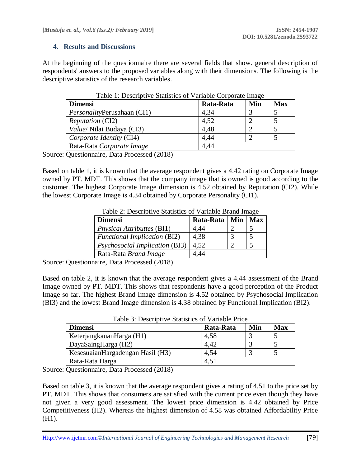#### **4. Results and Discussions**

At the beginning of the questionnaire there are several fields that show. general description of respondents' answers to the proposed variables along with their dimensions. The following is the descriptive statistics of the research variables.

| <b>Dimensi</b>                               | Rata-Rata | Min | <b>Max</b> |  |  |
|----------------------------------------------|-----------|-----|------------|--|--|
| <i>PersonalityPerusahaan (CI1)</i>           | 4,34      |     |            |  |  |
| <i>Reputation</i> (CI2)                      | 4,52      |     |            |  |  |
| <i>Value</i> / Nilai Budaya (CI3)            | 4.48      |     |            |  |  |
| Corporate Identity (CI4)                     | 4.44      |     |            |  |  |
| Rata-Rata Corporate Image                    | 4.44      |     |            |  |  |
| $\sim$ $\sim$ $\sim$ $\sim$ $\sim$<br>1/2040 |           |     |            |  |  |

| Table 1: Descriptive Statistics of Variable Corporate Image |
|-------------------------------------------------------------|
|-------------------------------------------------------------|

Source: Questionnaire, Data Processed (2018)

Based on table 1, it is known that the average respondent gives a 4.42 rating on Corporate Image owned by PT. MDT. This shows that the company image that is owned is good according to the customer. The highest Corporate Image dimension is 4.52 obtained by Reputation (CI2). While the lowest Corporate Image is 4.34 obtained by Corporate Personality (CI1).

| <b>Dimensi</b>                        | Rata-Rata   Min |               | <b>Max</b> |
|---------------------------------------|-----------------|---------------|------------|
| <i>Physical Attributtes</i> (BI1)     | 4,44            |               |            |
| <b>Functional Implication (BI2)</b>   | 4,38            | $\mathcal{R}$ | -5         |
| <i>Psychosocial Implication (BI3)</i> | 4.52            | ∍             |            |
| Rata-Rata Brand Image                 | 1.44            |               |            |

 $T$  11.  $\Omega$  Descriptive Statistics of Variable Brand Image

Source: Questionnaire, Data Processed (2018)

Based on table 2, it is known that the average respondent gives a 4.44 assessment of the Brand Image owned by PT. MDT. This shows that respondents have a good perception of the Product Image so far. The highest Brand Image dimension is 4.52 obtained by Psychosocial Implication (BI3) and the lowest Brand Image dimension is 4.38 obtained by Functional Implication (BI2).

| <b>Dimensi</b>                   | Rata-Rata | Min | <b>Max</b> |
|----------------------------------|-----------|-----|------------|
| KeterjangkauanHarga (H1)         | 4,58      |     |            |
| DayaSaingHarga (H2)              | 4,42      |     |            |
| KesesuaianHargadengan Hasil (H3) | 4.54      |     |            |
| Rata-Rata Harga                  | 4,51      |     |            |

Table 3: Descriptive Statistics of Variable Price

Source: Questionnaire, Data Processed (2018)

Based on table 3, it is known that the average respondent gives a rating of 4.51 to the price set by PT. MDT. This shows that consumers are satisfied with the current price even though they have not given a very good assessment. The lowest price dimension is 4.42 obtained by Price Competitiveness (H2). Whereas the highest dimension of 4.58 was obtained Affordability Price (H1).

Http:/[/www.ijetmr.com©](http://www.ijetmr.com/)*International Journal of Engineering Technologies and Management Research* [79]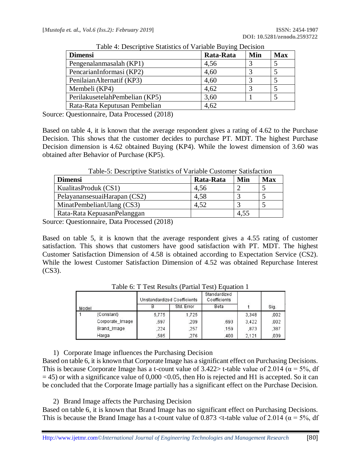| <b>Dimensi</b>                  | Rata-Rata | Min | <b>Max</b> |
|---------------------------------|-----------|-----|------------|
| Pengenalanmasalah (KP1)         | 4,56      |     |            |
| PencarianInformasi (KP2)        | 4,60      |     |            |
| PenilaianAlternatif (KP3)       | 4,60      |     |            |
| Membeli (KP4)                   | 4,62      |     |            |
| Perilakusetelah Pembelian (KP5) | 3,60      |     |            |
| Rata-Rata Keputusan Pembelian   | 4,62      |     |            |

Table 4: Descriptive Statistics of Variable Buying Decision

Source: Questionnaire, Data Processed (2018)

Based on table 4, it is known that the average respondent gives a rating of 4.62 to the Purchase Decision. This shows that the customer decides to purchase PT. MDT. The highest Purchase Decision dimension is 4.62 obtained Buying (KP4). While the lowest dimension of 3.60 was obtained after Behavior of Purchase (KP5).

| <b>Max</b> |
|------------|
|            |
|            |
|            |
|            |
|            |

Table-5: Descriptive Statistics of Variable Customer Satisfaction

Source: Questionnaire, Data Processed (2018)

Based on table 5, it is known that the average respondent gives a 4.55 rating of customer satisfaction. This shows that customers have good satisfaction with PT. MDT. The highest Customer Satisfaction Dimension of 4.58 is obtained according to Expectation Service (CS2). While the lowest Customer Satisfaction Dimension of 4.52 was obtained Repurchase Interest (CS3).

|       |                 | <b>Unstandardized Coefficients</b> |            | Standardized<br>Coefficients |       |      |
|-------|-----------------|------------------------------------|------------|------------------------------|-------|------|
| Model |                 |                                    | Std. Error | Beta                         |       | Sig. |
|       | (Constant)      | 5,775                              | 1,725      |                              | 3.348 | .002 |
|       | Corporate_Image | .697                               | .209       | .693                         | 3.422 | .002 |
|       | Brand Image     | .224                               | .257       | .159                         | .873  | ,387 |
|       | Harga           | 585                                | 276        | .400                         | 2.121 | .039 |

Table 6: T Test Results (Partial Test) Equation 1

1) Corporate Image influences the Purchasing Decision

Based on table 6, it is known that Corporate Image has a significant effect on Purchasing Decisions. This is because Corporate Image has a t-count value of 3.422> t-table value of 2.014 ( $\alpha$  = 5%, df  $= 45$ ) or with a significance value of 0,000 <0.05, then Ho is rejected and H1 is accepted. So it can be concluded that the Corporate Image partially has a significant effect on the Purchase Decision.

#### 2) Brand Image affects the Purchasing Decision

Based on table 6, it is known that Brand Image has no significant effect on Purchasing Decisions. This is because the Brand Image has a t-count value of 0.873  $lt$ -table value of 2.014 ( $\alpha = 5\%$ , df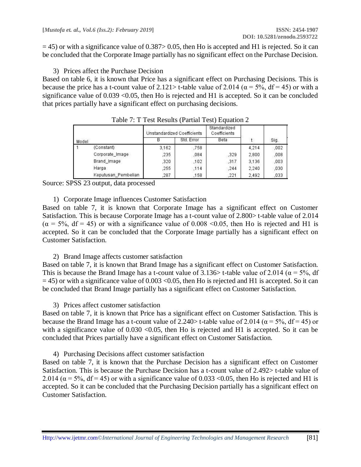$=$  45) or with a significance value of 0.387> 0.05, then Ho is accepted and H1 is rejected. So it can be concluded that the Corporate Image partially has no significant effect on the Purchase Decision.

3) Prices affect the Purchase Decision

Based on table 6, it is known that Price has a significant effect on Purchasing Decisions. This is because the price has a t-count value of 2.121> t-table value of 2.014 ( $\alpha$  = 5%, df = 45) or with a significance value of  $0.039 \le 0.05$ , then Ho is rejected and H1 is accepted. So it can be concluded that prices partially have a significant effect on purchasing decisions.

|       |                     | Unstandardized Coefficients |            | Standardized<br>Coefficients |       |      |
|-------|---------------------|-----------------------------|------------|------------------------------|-------|------|
| Model |                     |                             | Std. Error | Beta                         |       | Sig. |
|       | (Constant)          | 3.162                       | .758       |                              | 4.214 | .002 |
|       | Corporate Image     | .235                        | .084       | .329                         | 2,800 | .008 |
|       | Brand Image         | .320                        | .102       | .317                         | 3.136 | .003 |
|       | Harga               | .255                        | .114       | .244                         | 2.240 | .030 |
|       | Keputusan Pembelian | 287                         | .158       | .221                         | 2.492 | .033 |

Table 7: T Test Results (Partial Test) Equation 2

Source: SPSS 23 output, data processed

1) Corporate Image influences Customer Satisfaction

Based on table 7, it is known that Corporate Image has a significant effect on Customer Satisfaction. This is because Corporate Image has a t-count value of 2.800> t-table value of 2.014  $(\alpha = 5\%, df = 45)$  or with a significance value of 0.008 < 0.05, then Ho is rejected and H1 is accepted. So it can be concluded that the Corporate Image partially has a significant effect on Customer Satisfaction.

2) Brand Image affects customer satisfaction

Based on table 7, it is known that Brand Image has a significant effect on Customer Satisfaction. This is because the Brand Image has a t-count value of 3.136> t-table value of 2.014 ( $\alpha = 5\%$ , df  $= 45$ ) or with a significance value of 0.003 <0.05, then Ho is rejected and H1 is accepted. So it can be concluded that Brand Image partially has a significant effect on Customer Satisfaction.

3) Prices affect customer satisfaction

Based on table 7, it is known that Price has a significant effect on Customer Satisfaction. This is because the Brand Image has a t-count value of 2.240> t-table value of 2.014 ( $\alpha$  = 5%, df = 45) or with a significance value of  $0.030 \le 0.05$ , then Ho is rejected and H1 is accepted. So it can be concluded that Prices partially have a significant effect on Customer Satisfaction.

4) Purchasing Decisions affect customer satisfaction

Based on table 7, it is known that the Purchase Decision has a significant effect on Customer Satisfaction. This is because the Purchase Decision has a t-count value of 2.492> t-table value of 2.014 ( $\alpha$  = 5%, df = 45) or with a significance value of 0.033 < 0.05, then Ho is rejected and H1 is accepted. So it can be concluded that the Purchasing Decision partially has a significant effect on Customer Satisfaction.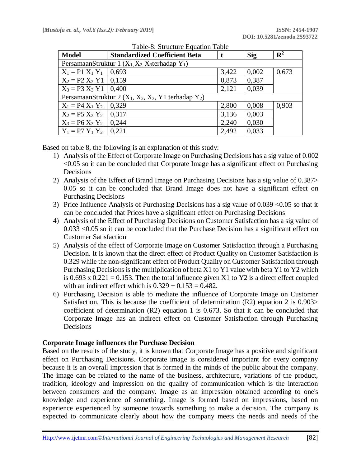| <b>Model</b>                                                | <b>Standardized Coefficient Beta</b>                            |       | Sig   | $\mathbf{R}^2$ |  |  |  |  |
|-------------------------------------------------------------|-----------------------------------------------------------------|-------|-------|----------------|--|--|--|--|
|                                                             | PersamaanStruktur 1 $(X_1, X_2, X_3)$ terhadap Y <sub>1</sub> ) |       |       |                |  |  |  |  |
| $X_1 = P1 X_1 Y_1$                                          | 0.693                                                           | 3,422 | 0,002 | 0,673          |  |  |  |  |
| $X_2 = P2 X_2 Y1   0,159$                                   |                                                                 | 0,873 | 0,387 |                |  |  |  |  |
| $X_3 = P3 X_3 Y1   0,400$                                   |                                                                 | 2,121 | 0,039 |                |  |  |  |  |
| PersamaanStruktur 2 ( $X_1, X_2, X_3, Y_1$ terhadap $Y_2$ ) |                                                                 |       |       |                |  |  |  |  |
| $X_1 = P4 X_1 Y_2   0,329$                                  |                                                                 | 2,800 | 0,008 | 0,903          |  |  |  |  |
| $X_2 = P5 X_2 Y_2   0,317$                                  |                                                                 | 3,136 | 0,003 |                |  |  |  |  |
| $X_3 = P6 X_3 Y_2$                                          | 0,244                                                           | 2,240 | 0,030 |                |  |  |  |  |
| $Y_1 = P7 Y_1 Y_2$                                          | 0,221                                                           | 2,492 | 0,033 |                |  |  |  |  |

|  |  | Table-8: Structure Equation Table |  |  |
|--|--|-----------------------------------|--|--|
|--|--|-----------------------------------|--|--|

Based on table 8, the following is an explanation of this study:

- 1) Analysis of the Effect of Corporate Image on Purchasing Decisions has a sig value of 0.002 <0.05 so it can be concluded that Corporate Image has a significant effect on Purchasing Decisions
- 2) Analysis of the Effect of Brand Image on Purchasing Decisions has a sig value of 0.387> 0.05 so it can be concluded that Brand Image does not have a significant effect on Purchasing Decisions
- 3) Price Influence Analysis of Purchasing Decisions has a sig value of 0.039 <0.05 so that it can be concluded that Prices have a significant effect on Purchasing Decisions
- 4) Analysis of the Effect of Purchasing Decisions on Customer Satisfaction has a sig value of 0.033 <0.05 so it can be concluded that the Purchase Decision has a significant effect on Customer Satisfaction
- 5) Analysis of the effect of Corporate Image on Customer Satisfaction through a Purchasing Decision. It is known that the direct effect of Product Quality on Customer Satisfaction is 0.329 while the non-significant effect of Product Quality on Customer Satisfaction through Purchasing Decisions is the multiplication of beta X1 to Y1 value with beta Y1 to Y2 which is 0.693 x 0.221 = 0.153. Then the total influence given X1 to Y2 is a direct effect coupled with an indirect effect which is  $0.329 + 0.153 = 0.482$ .
- 6) Purchasing Decision is able to mediate the influence of Corporate Image on Customer Satisfaction. This is because the coefficient of determination (R2) equation 2 is 0.903> coefficient of determination (R2) equation 1 is 0.673. So that it can be concluded that Corporate Image has an indirect effect on Customer Satisfaction through Purchasing Decisions

#### **Corporate Image influences the Purchase Decision**

Based on the results of the study, it is known that Corporate Image has a positive and significant effect on Purchasing Decisions. Corporate image is considered important for every company because it is an overall impression that is formed in the minds of the public about the company. The image can be related to the name of the business, architecture, variations of the product, tradition, ideology and impression on the quality of communication which is the interaction between consumers and the company. Image as an impression obtained according to one's knowledge and experience of something. Image is formed based on impressions, based on experience experienced by someone towards something to make a decision. The company is expected to communicate clearly about how the company meets the needs and needs of the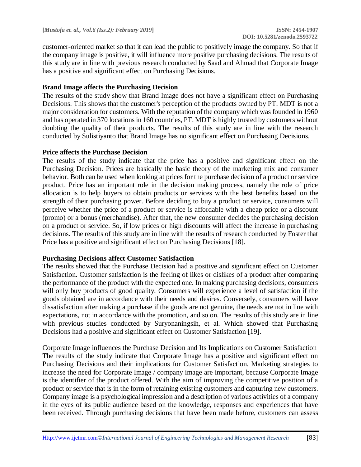customer-oriented market so that it can lead the public to positively image the company. So that if the company image is positive, it will influence more positive purchasing decisions. The results of this study are in line with previous research conducted by Saad and Ahmad that Corporate Image has a positive and significant effect on Purchasing Decisions.

## **Brand Image affects the Purchasing Decision**

The results of the study show that Brand Image does not have a significant effect on Purchasing Decisions. This shows that the customer's perception of the products owned by PT. MDT is not a major consideration for customers. With the reputation of the company which was founded in 1960 and has operated in 370 locations in 160 countries, PT. MDT is highly trusted by customers without doubting the quality of their products. The results of this study are in line with the research conducted by Sulistiyanto that Brand Image has no significant effect on Purchasing Decisions.

#### **Price affects the Purchase Decision**

The results of the study indicate that the price has a positive and significant effect on the Purchasing Decision. Prices are basically the basic theory of the marketing mix and consumer behavior. Both can be used when looking at prices for the purchase decision of a product or service product. Price has an important role in the decision making process, namely the role of price allocation is to help buyers to obtain products or services with the best benefits based on the strength of their purchasing power. Before deciding to buy a product or service, consumers will perceive whether the price of a product or service is affordable with a cheap price or a discount (promo) or a bonus (merchandise). After that, the new consumer decides the purchasing decision on a product or service. So, if low prices or high discounts will affect the increase in purchasing decisions. The results of this study are in line with the results of research conducted by Foster that Price has a positive and significant effect on Purchasing Decisions [18].

#### **Purchasing Decisions affect Customer Satisfaction**

The results showed that the Purchase Decision had a positive and significant effect on Customer Satisfaction. Customer satisfaction is the feeling of likes or dislikes of a product after comparing the performance of the product with the expected one. In making purchasing decisions, consumers will only buy products of good quality. Consumers will experience a level of satisfaction if the goods obtained are in accordance with their needs and desires. Conversely, consumers will have dissatisfaction after making a purchase if the goods are not genuine, the needs are not in line with expectations, not in accordance with the promotion, and so on. The results of this study are in line with previous studies conducted by Suryonaningsih, et al. Which showed that Purchasing Decisions had a positive and significant effect on Customer Satisfaction [19].

Corporate Image influences the Purchase Decision and Its Implications on Customer Satisfaction The results of the study indicate that Corporate Image has a positive and significant effect on Purchasing Decisions and their implications for Customer Satisfaction. Marketing strategies to increase the need for Corporate Image / company image are important, because Corporate Image is the identifier of the product offered. With the aim of improving the competitive position of a product or service that is in the form of retaining existing customers and capturing new customers. Company image is a psychological impression and a description of various activities of a company in the eyes of its public audience based on the knowledge, responses and experiences that have been received. Through purchasing decisions that have been made before, customers can assess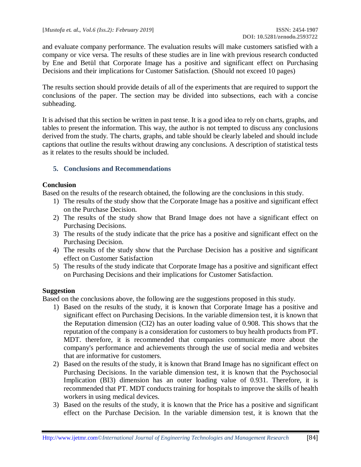and evaluate company performance. The evaluation results will make customers satisfied with a company or vice versa. The results of these studies are in line with previous research conducted by Ene and Betül that Corporate Image has a positive and significant effect on Purchasing Decisions and their implications for Customer Satisfaction. (Should not exceed 10 pages)

The results section should provide details of all of the experiments that are required to support the conclusions of the paper. The section may be divided into subsections, each with a concise subheading.

It is advised that this section be written in past tense. It is a good idea to rely on charts, graphs, and tables to present the information. This way, the author is not tempted to discuss any conclusions derived from the study. The charts, graphs, and table should be clearly labeled and should include captions that outline the results without drawing any conclusions. A description of statistical tests as it relates to the results should be included.

## **5. Conclusions and Recommendations**

## **Conclusion**

Based on the results of the research obtained, the following are the conclusions in this study.

- 1) The results of the study show that the Corporate Image has a positive and significant effect on the Purchase Decision.
- 2) The results of the study show that Brand Image does not have a significant effect on Purchasing Decisions.
- 3) The results of the study indicate that the price has a positive and significant effect on the Purchasing Decision.
- 4) The results of the study show that the Purchase Decision has a positive and significant effect on Customer Satisfaction
- 5) The results of the study indicate that Corporate Image has a positive and significant effect on Purchasing Decisions and their implications for Customer Satisfaction.

# **Suggestion**

Based on the conclusions above, the following are the suggestions proposed in this study.

- 1) Based on the results of the study, it is known that Corporate Image has a positive and significant effect on Purchasing Decisions. In the variable dimension test, it is known that the Reputation dimension (CI2) has an outer loading value of 0.908. This shows that the reputation of the company is a consideration for customers to buy health products from PT. MDT. therefore, it is recommended that companies communicate more about the company's performance and achievements through the use of social media and websites that are informative for customers.
- 2) Based on the results of the study, it is known that Brand Image has no significant effect on Purchasing Decisions. In the variable dimension test, it is known that the Psychosocial Implication (BI3) dimension has an outer loading value of 0.931. Therefore, it is recommended that PT. MDT conducts training for hospitals to improve the skills of health workers in using medical devices.
- 3) Based on the results of the study, it is known that the Price has a positive and significant effect on the Purchase Decision. In the variable dimension test, it is known that the